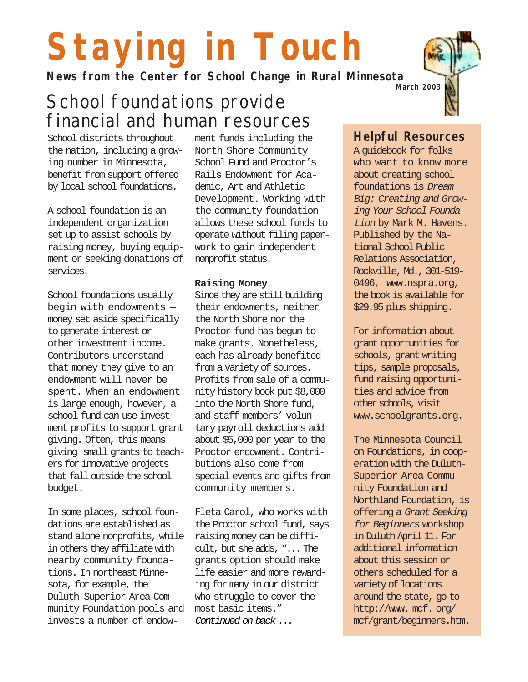# **Staying in Touch**

**News from the Center for School Change in Rural Minnesota**

## School foundations provide financial and human resources

#### School districts throughout the nation, including a growing number in Minnesota, benefit from support offered by local school foundations.

A school foundation is an independent organization set up to assist schools by raising money, buying equipment or seeking donations of services.

School foundations usually begin with endowments money set aside specifically to generate interest or other investment income. Contributors understand that money they give to an endowment will never be spent. When an endowment is large enough, however, a school fund can use investment profits to support grant giving. Often, this means giving small grants to teachers for innovative projects that fall outside the school budget.

In some places, school foundations are established as stand alone nonprofits, while in others they affiliate with nearby community foundations. In northeast Minnesota, for example, the Duluth-Superior Area Community Foundation pools and invests a number of endow- Continued on back ...

ment funds including the North Shore Community School Fund and Proctor's Rails Endowment for Academic, Art and Athletic Development. Working with the community foundation allows these school funds to operate without filing paperwork to gain independent nonprofit status.

#### **Raising Money**

Since they are still building their endowments, neither the North Shore nor the Proctor fund has begun to make grants. Nonetheless, each has already benefited from a variety of sources. Profits from sale of a community history book put \$8,000 into the North Shore fund, and staff members' voluntary payroll deductions add about \$5,000 per year to the Proctor endowment. Contributions also come from special events and gifts from community members.

Fleta Carol, who works with the Proctor school fund, says raising money can be difficult, but she adds, "... The grants option should make life easier and more rewarding for many in our district who struggle to cover the most basic items."

#### **Helpful Resources**

A guidebook for folks who want to know more about creating school foundations is Dream Big: Creating and Growing Your School Foundation by Mark M. Havens. Published by the National School Public Relations Association, Rockville, Md., 301-519- 0496, www.nspra.org, the book is available for \$29.95 plus shipping.

For information about grant opportunities for schools, grant writing tips, sample proposals, fund raising opportunities and advice from other schools, visit www.schoolgrants.org.

The Minnesota Council on Foundations, in cooperation with the Duluth-Superior Area Community Foundation and Northland Foundation, is offering a Grant Seeking for Beginners workshop in Duluth April 11. For additional information about this session or others scheduled for a variety of locations around the state, go to http://www. mcf. org/ mcf/grant/beginners.htm.